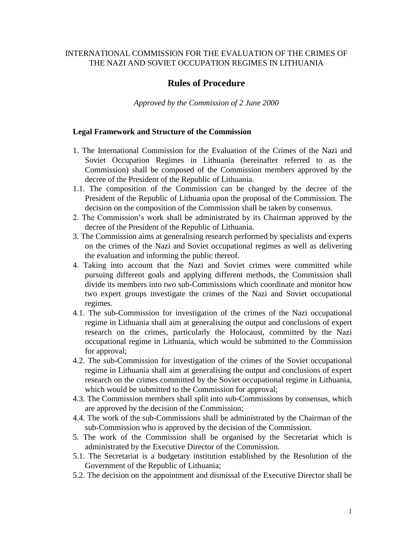## INTERNATIONAL COMMISSION FOR THE EVALUATION OF THE CRIMES OF THE NAZI AND SOVIET OCCUPATION REGIMES IN LITHUANIA

# **Rules of Procedure**

*Approved by the Commission of 2 June 2000*

## **Legal Framework and Structure of the Commission**

- 1. The International Commission for the Evaluation of the Crimes of the Nazi and Soviet Occupation Regimes in Lithuania (hereinafter referred to as the Commission) shall be composed of the Commission members approved by the decree of the President of the Republic of Lithuania.
- 1.1. The composition of the Commission can be changed by the decree of the President of the Republic of Lithuania upon the proposal of the Commission. The decision on the composition of the Commission shall be taken by consensus.
- 2. The Commission's work shall be administrated by its Chairman approved by the decree of the President of the Republic of Lithuania.
- 3. The Commission aims at generalising research performed by specialists and experts on the crimes of the Nazi and Soviet occupational regimes as well as delivering the evaluation and informing the public thereof.
- 4. Taking into account that the Nazi and Soviet crimes were committed while pursuing different goals and applying different methods, the Commission shall divide its members into two sub-Commissions which coordinate and monitor how two expert groups investigate the crimes of the Nazi and Soviet occupational regimes.
- 4.1. The sub-Commission for investigation of the crimes of the Nazi occupational regime in Lithuania shall aim at generalising the output and conclusions of expert research on the crimes, particularly the Holocaust, committed by the Nazi occupational regime in Lithuania, which would be submitted to the Commission for approval;
- 4.2. The sub-Commission for investigation of the crimes of the Soviet occupational regime in Lithuania shall aim at generalising the output and conclusions of expert research on the crimes committed by the Soviet occupational regime in Lithuania, which would be submitted to the Commission for approval;
- 4.3. The Commission members shall split into sub-Commissions by consensus, which are approved by the decision of the Commission;
- 4.4. The work of the sub-Commissions shall be administrated by the Chairman of the sub-Commission who is approved by the decision of the Commission.
- 5. The work of the Commission shall be organised by the Secretariat which is administrated by the Executive Director of the Commission.
- 5.1. The Secretariat is a budgetary institution established by the Resolution of the Government of the Republic of Lithuania;
- 5.2. The decision on the appointment and dismissal of the Executive Director shall be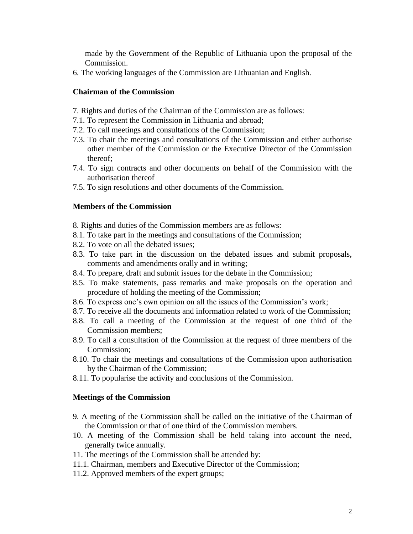made by the Government of the Republic of Lithuania upon the proposal of the Commission.

6. The working languages of the Commission are Lithuanian and English.

## **Chairman of the Commission**

- 7. Rights and duties of the Chairman of the Commission are as follows:
- 7.1. To represent the Commission in Lithuania and abroad;
- 7.2. To call meetings and consultations of the Commission;
- 7.3. To chair the meetings and consultations of the Commission and either authorise other member of the Commission or the Executive Director of the Commission thereof;
- 7.4. To sign contracts and other documents on behalf of the Commission with the authorisation thereof
- 7.5. To sign resolutions and other documents of the Commission.

### **Members of the Commission**

- 8. Rights and duties of the Commission members are as follows:
- 8.1. To take part in the meetings and consultations of the Commission;
- 8.2. To vote on all the debated issues;
- 8.3. To take part in the discussion on the debated issues and submit proposals, comments and amendments orally and in writing;
- 8.4. To prepare, draft and submit issues for the debate in the Commission;
- 8.5. To make statements, pass remarks and make proposals on the operation and procedure of holding the meeting of the Commission;
- 8.6. To express one's own opinion on all the issues of the Commission's work;
- 8.7. To receive all the documents and information related to work of the Commission;
- 8.8. To call a meeting of the Commission at the request of one third of the Commission members;
- 8.9. To call a consultation of the Commission at the request of three members of the Commission;
- 8.10. To chair the meetings and consultations of the Commission upon authorisation by the Chairman of the Commission;
- 8.11. To popularise the activity and conclusions of the Commission.

#### **Meetings of the Commission**

- 9. A meeting of the Commission shall be called on the initiative of the Chairman of the Commission or that of one third of the Commission members.
- 10. A meeting of the Commission shall be held taking into account the need, generally twice annually.
- 11. The meetings of the Commission shall be attended by:
- 11.1. Chairman, members and Executive Director of the Commission;
- 11.2. Approved members of the expert groups;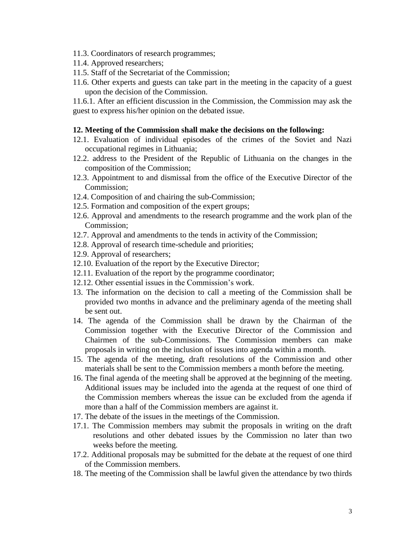- 11.3. Coordinators of research programmes;
- 11.4. Approved researchers;
- 11.5. Staff of the Secretariat of the Commission;
- 11.6. Other experts and guests can take part in the meeting in the capacity of a guest upon the decision of the Commission.

11.6.1. After an efficient discussion in the Commission, the Commission may ask the guest to express his/her opinion on the debated issue.

#### **12. Meeting of the Commission shall make the decisions on the following:**

- 12.1. Evaluation of individual episodes of the crimes of the Soviet and Nazi occupational regimes in Lithuania;
- 12.2. address to the President of the Republic of Lithuania on the changes in the composition of the Commission;
- 12.3. Appointment to and dismissal from the office of the Executive Director of the Commission;
- 12.4. Composition of and chairing the sub-Commission;
- 12.5. Formation and composition of the expert groups;
- 12.6. Approval and amendments to the research programme and the work plan of the Commission;
- 12.7. Approval and amendments to the tends in activity of the Commission;
- 12.8. Approval of research time-schedule and priorities;
- 12.9. Approval of researchers;
- 12.10. Evaluation of the report by the Executive Director;
- 12.11. Evaluation of the report by the programme coordinator;
- 12.12. Other essential issues in the Commission's work.
- 13. The information on the decision to call a meeting of the Commission shall be provided two months in advance and the preliminary agenda of the meeting shall be sent out.
- 14. The agenda of the Commission shall be drawn by the Chairman of the Commission together with the Executive Director of the Commission and Chairmen of the sub-Commissions. The Commission members can make proposals in writing on the inclusion of issues into agenda within a month.
- 15. The agenda of the meeting, draft resolutions of the Commission and other materials shall be sent to the Commission members a month before the meeting.
- 16. The final agenda of the meeting shall be approved at the beginning of the meeting. Additional issues may be included into the agenda at the request of one third of the Commission members whereas the issue can be excluded from the agenda if more than a half of the Commission members are against it.
- 17. The debate of the issues in the meetings of the Commission.
- 17.1. The Commission members may submit the proposals in writing on the draft resolutions and other debated issues by the Commission no later than two weeks before the meeting.
- 17.2. Additional proposals may be submitted for the debate at the request of one third of the Commission members.
- 18. The meeting of the Commission shall be lawful given the attendance by two thirds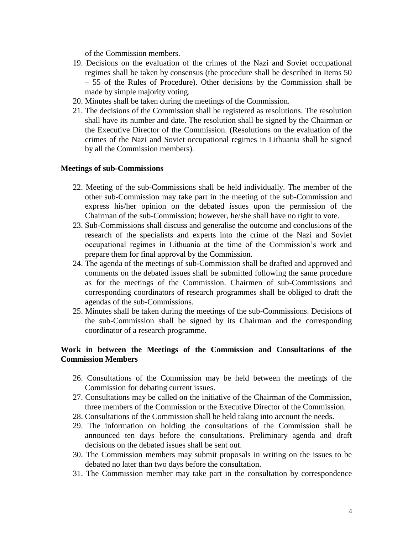of the Commission members.

- 19. Decisions on the evaluation of the crimes of the Nazi and Soviet occupational regimes shall be taken by consensus (the procedure shall be described in Items 50 – 55 of the Rules of Procedure). Other decisions by the Commission shall be made by simple majority voting.
- 20. Minutes shall be taken during the meetings of the Commission.
- 21. The decisions of the Commission shall be registered as resolutions. The resolution shall have its number and date. The resolution shall be signed by the Chairman or the Executive Director of the Commission. (Resolutions on the evaluation of the crimes of the Nazi and Soviet occupational regimes in Lithuania shall be signed by all the Commission members).

## **Meetings of sub-Commissions**

- 22. Meeting of the sub-Commissions shall be held individually. The member of the other sub-Commission may take part in the meeting of the sub-Commission and express his/her opinion on the debated issues upon the permission of the Chairman of the sub-Commission; however, he/she shall have no right to vote.
- 23. Sub-Commissions shall discuss and generalise the outcome and conclusions of the research of the specialists and experts into the crime of the Nazi and Soviet occupational regimes in Lithuania at the time of the Commission's work and prepare them for final approval by the Commission.
- 24. The agenda of the meetings of sub-Commission shall be drafted and approved and comments on the debated issues shall be submitted following the same procedure as for the meetings of the Commission. Chairmen of sub-Commissions and corresponding coordinators of research programmes shall be obliged to draft the agendas of the sub-Commissions.
- 25. Minutes shall be taken during the meetings of the sub-Commissions. Decisions of the sub-Commission shall be signed by its Chairman and the corresponding coordinator of a research programme.

# **Work in between the Meetings of the Commission and Consultations of the Commission Members**

- 26. Consultations of the Commission may be held between the meetings of the Commission for debating current issues.
- 27. Consultations may be called on the initiative of the Chairman of the Commission, three members of the Commission or the Executive Director of the Commission.
- 28. Consultations of the Commission shall be held taking into account the needs.
- 29. The information on holding the consultations of the Commission shall be announced ten days before the consultations. Preliminary agenda and draft decisions on the debated issues shall be sent out.
- 30. The Commission members may submit proposals in writing on the issues to be debated no later than two days before the consultation.
- 31. The Commission member may take part in the consultation by correspondence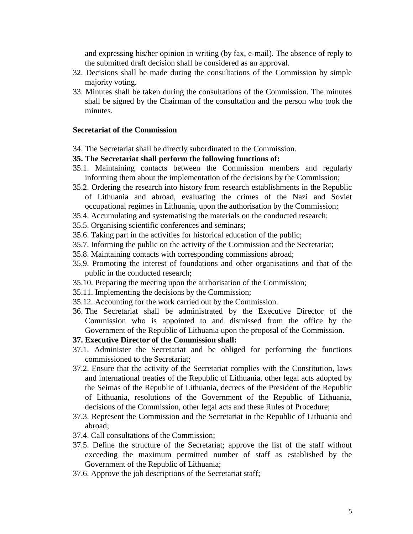and expressing his/her opinion in writing (by fax, e-mail). The absence of reply to the submitted draft decision shall be considered as an approval.

- 32. Decisions shall be made during the consultations of the Commission by simple majority voting.
- 33. Minutes shall be taken during the consultations of the Commission. The minutes shall be signed by the Chairman of the consultation and the person who took the minutes.

## **Secretariat of the Commission**

34. The Secretariat shall be directly subordinated to the Commission.

### **35. The Secretariat shall perform the following functions of:**

- 35.1. Maintaining contacts between the Commission members and regularly informing them about the implementation of the decisions by the Commission;
- 35.2. Ordering the research into history from research establishments in the Republic of Lithuania and abroad, evaluating the crimes of the Nazi and Soviet occupational regimes in Lithuania, upon the authorisation by the Commission;
- 35.4. Accumulating and systematising the materials on the conducted research;
- 35.5. Organising scientific conferences and seminars;
- 35.6. Taking part in the activities for historical education of the public;
- 35.7. Informing the public on the activity of the Commission and the Secretariat;
- 35.8. Maintaining contacts with corresponding commissions abroad;
- 35.9. Promoting the interest of foundations and other organisations and that of the public in the conducted research;
- 35.10. Preparing the meeting upon the authorisation of the Commission;
- 35.11. Implementing the decisions by the Commission;
- 35.12. Accounting for the work carried out by the Commission.
- 36. The Secretariat shall be administrated by the Executive Director of the Commission who is appointed to and dismissed from the office by the Government of the Republic of Lithuania upon the proposal of the Commission.
- **37. Executive Director of the Commission shall:**
- 37.1. Administer the Secretariat and be obliged for performing the functions commissioned to the Secretariat;
- 37.2. Ensure that the activity of the Secretariat complies with the Constitution, laws and international treaties of the Republic of Lithuania, other legal acts adopted by the Seimas of the Republic of Lithuania, decrees of the President of the Republic of Lithuania, resolutions of the Government of the Republic of Lithuania, decisions of the Commission, other legal acts and these Rules of Procedure;
- 37.3. Represent the Commission and the Secretariat in the Republic of Lithuania and abroad;
- 37.4. Call consultations of the Commission;
- 37.5. Define the structure of the Secretariat; approve the list of the staff without exceeding the maximum permitted number of staff as established by the Government of the Republic of Lithuania;
- 37.6. Approve the job descriptions of the Secretariat staff;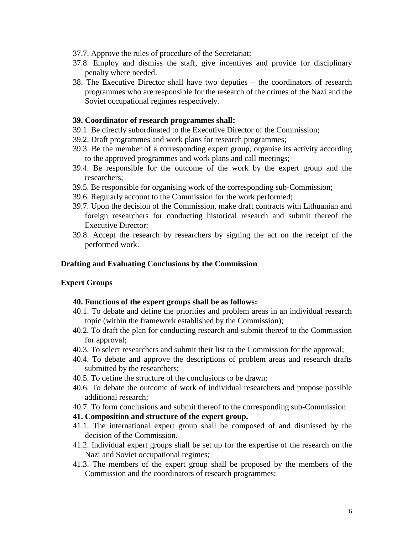- 37.7. Approve the rules of procedure of the Secretariat;
- 37.8. Employ and dismiss the staff, give incentives and provide for disciplinary penalty where needed.
- 38. The Executive Director shall have two deputies the coordinators of research programmes who are responsible for the research of the crimes of the Nazi and the Soviet occupational regimes respectively.

#### **39. Coordinator of research programmes shall:**

- 39.1. Be directly subordinated to the Executive Director of the Commission;
- 39.2. Draft programmes and work plans for research programmes;
- 39.3. Be the member of a corresponding expert group, organise its activity according to the approved programmes and work plans and call meetings;
- 39.4. Be responsible for the outcome of the work by the expert group and the researchers;
- 39.5. Be responsible for organising work of the corresponding sub-Commission;
- 39.6. Regularly account to the Commission for the work performed;
- 39.7. Upon the decision of the Commission, make draft contracts with Lithuanian and foreign researchers for conducting historical research and submit thereof the Executive Director;
- 39.8. Accept the research by researchers by signing the act on the receipt of the performed work.

#### **Drafting and Evaluating Conclusions by the Commission**

### **Expert Groups**

#### **40. Functions of the expert groups shall be as follows:**

- 40.1. To debate and define the priorities and problem areas in an individual research topic (within the framework established by the Commission);
- 40.2. To draft the plan for conducting research and submit thereof to the Commission for approval;
- 40.3. To select researchers and submit their list to the Commission for the approval;
- 40.4. To debate and approve the descriptions of problem areas and research drafts submitted by the researchers;
- 40.5. To define the structure of the conclusions to be drawn;
- 40.6. To debate the outcome of work of individual researchers and propose possible additional research;
- 40.7. To form conclusions and submit thereof to the corresponding sub-Commission.

## **41. Composition and structure of the expert group.**

- 41.1. The international expert group shall be composed of and dismissed by the decision of the Commission.
- 41.2. Individual expert groups shall be set up for the expertise of the research on the Nazi and Soviet occupational regimes;
- 41.3. The members of the expert group shall be proposed by the members of the Commission and the coordinators of research programmes;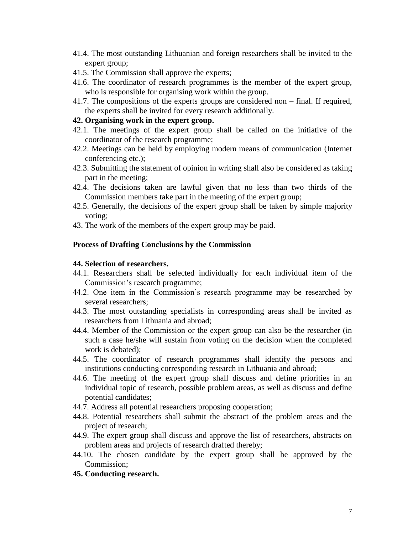- 41.4. The most outstanding Lithuanian and foreign researchers shall be invited to the expert group;
- 41.5. The Commission shall approve the experts;
- 41.6. The coordinator of research programmes is the member of the expert group, who is responsible for organising work within the group.
- 41.7. The compositions of the experts groups are considered non final. If required, the experts shall be invited for every research additionally.

### **42. Organising work in the expert group.**

- 42.1. The meetings of the expert group shall be called on the initiative of the coordinator of the research programme;
- 42.2. Meetings can be held by employing modern means of communication (Internet conferencing etc.);
- 42.3. Submitting the statement of opinion in writing shall also be considered as taking part in the meeting;
- 42.4. The decisions taken are lawful given that no less than two thirds of the Commission members take part in the meeting of the expert group;
- 42.5. Generally, the decisions of the expert group shall be taken by simple majority voting;
- 43. The work of the members of the expert group may be paid.

## **Process of Drafting Conclusions by the Commission**

### **44. Selection of researchers.**

- 44.1. Researchers shall be selected individually for each individual item of the Commission's research programme;
- 44.2. One item in the Commission's research programme may be researched by several researchers;
- 44.3. The most outstanding specialists in corresponding areas shall be invited as researchers from Lithuania and abroad;
- 44.4. Member of the Commission or the expert group can also be the researcher (in such a case he/she will sustain from voting on the decision when the completed work is debated);
- 44.5. The coordinator of research programmes shall identify the persons and institutions conducting corresponding research in Lithuania and abroad;
- 44.6. The meeting of the expert group shall discuss and define priorities in an individual topic of research, possible problem areas, as well as discuss and define potential candidates;
- 44.7. Address all potential researchers proposing cooperation;
- 44.8. Potential researchers shall submit the abstract of the problem areas and the project of research;
- 44.9. The expert group shall discuss and approve the list of researchers, abstracts on problem areas and projects of research drafted thereby;
- 44.10. The chosen candidate by the expert group shall be approved by the Commission;
- **45. Conducting research.**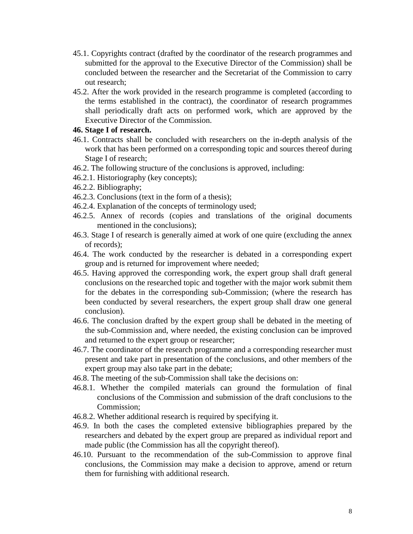- 45.1. Copyrights contract (drafted by the coordinator of the research programmes and submitted for the approval to the Executive Director of the Commission) shall be concluded between the researcher and the Secretariat of the Commission to carry out research;
- 45.2. After the work provided in the research programme is completed (according to the terms established in the contract), the coordinator of research programmes shall periodically draft acts on performed work, which are approved by the Executive Director of the Commission.

## **46. Stage I of research.**

- 46.1. Contracts shall be concluded with researchers on the in-depth analysis of the work that has been performed on a corresponding topic and sources thereof during Stage I of research;
- 46.2. The following structure of the conclusions is approved, including:
- 46.2.1. Historiography (key concepts);
- 46.2.2. Bibliography;
- 46.2.3. Conclusions (text in the form of a thesis);
- 46.2.4. Explanation of the concepts of terminology used;
- 46.2.5. Annex of records (copies and translations of the original documents mentioned in the conclusions);
- 46.3. Stage I of research is generally aimed at work of one quire (excluding the annex of records);
- 46.4. The work conducted by the researcher is debated in a corresponding expert group and is returned for improvement where needed;
- 46.5. Having approved the corresponding work, the expert group shall draft general conclusions on the researched topic and together with the major work submit them for the debates in the corresponding sub-Commission; (where the research has been conducted by several researchers, the expert group shall draw one general conclusion).
- 46.6. The conclusion drafted by the expert group shall be debated in the meeting of the sub-Commission and, where needed, the existing conclusion can be improved and returned to the expert group or researcher;
- 46.7. The coordinator of the research programme and a corresponding researcher must present and take part in presentation of the conclusions, and other members of the expert group may also take part in the debate;
- 46.8. The meeting of the sub-Commission shall take the decisions on:
- 46.8.1. Whether the compiled materials can ground the formulation of final conclusions of the Commission and submission of the draft conclusions to the Commission;
- 46.8.2. Whether additional research is required by specifying it.
- 46.9. In both the cases the completed extensive bibliographies prepared by the researchers and debated by the expert group are prepared as individual report and made public (the Commission has all the copyright thereof).
- 46.10. Pursuant to the recommendation of the sub-Commission to approve final conclusions, the Commission may make a decision to approve, amend or return them for furnishing with additional research.